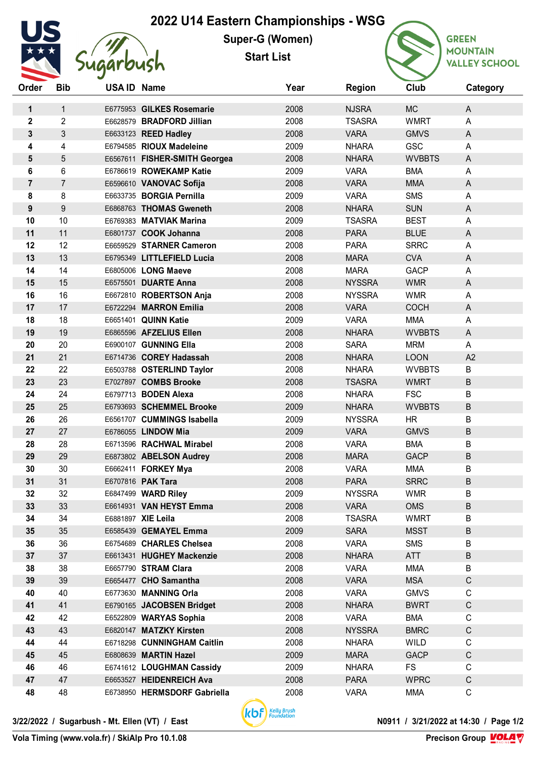## **2022 U14 Eastern Championships - WSG**



**Super-G (Women)**

**Start List**



| Order            | Bib            | USA ID Name |                               | Year | <b>Region</b> | Club          | Category     |  |
|------------------|----------------|-------------|-------------------------------|------|---------------|---------------|--------------|--|
| 1                | $\mathbf{1}$   |             | E6775953 GILKES Rosemarie     | 2008 | <b>NJSRA</b>  | <b>MC</b>     | A            |  |
| $\mathbf{2}$     | $\overline{2}$ |             | E6628579 BRADFORD Jillian     | 2008 | <b>TSASRA</b> | <b>WMRT</b>   | A            |  |
| 3                | $\mathfrak{S}$ |             | E6633123 REED Hadley          | 2008 | <b>VARA</b>   | <b>GMVS</b>   | A            |  |
| 4                | 4              |             | E6794585 RIOUX Madeleine      | 2009 | <b>NHARA</b>  | GSC           | A            |  |
| 5                | 5              |             | E6567611 FISHER-SMITH Georgea | 2008 | <b>NHARA</b>  | <b>WVBBTS</b> | A            |  |
| 6                | 6              |             | E6786619 ROWEKAMP Katie       | 2009 | <b>VARA</b>   | <b>BMA</b>    | A            |  |
| $\overline{7}$   | $\overline{7}$ |             | E6596610 VANOVAC Sofija       | 2008 | <b>VARA</b>   | <b>MMA</b>    | A            |  |
| 8                | 8              |             | E6633735 BORGIA Pernilla      | 2009 | <b>VARA</b>   | <b>SMS</b>    | A            |  |
| $\boldsymbol{9}$ | 9              |             | E6868763 THOMAS Gweneth       | 2008 | <b>NHARA</b>  | <b>SUN</b>    | A            |  |
| 10               | 10             |             | E6769383 MATVIAK Marina       | 2009 | <b>TSASRA</b> | <b>BEST</b>   | A            |  |
| 11               | 11             |             | E6801737 COOK Johanna         | 2008 | <b>PARA</b>   | <b>BLUE</b>   | A            |  |
| 12               | 12             |             | E6659529 STARNER Cameron      | 2008 | <b>PARA</b>   | <b>SRRC</b>   | A            |  |
| 13               | 13             |             | E6795349 LITTLEFIELD Lucia    | 2008 | <b>MARA</b>   | <b>CVA</b>    | A            |  |
| 14               | 14             |             | E6805006 LONG Maeve           | 2008 | <b>MARA</b>   | <b>GACP</b>   | A            |  |
| 15               | 15             |             | E6575501 DUARTE Anna          | 2008 | <b>NYSSRA</b> | <b>WMR</b>    | A            |  |
| 16               | 16             |             | E6672810 ROBERTSON Anja       | 2008 | <b>NYSSRA</b> | <b>WMR</b>    | A            |  |
| 17               | 17             |             | E6722294 MARRON Emilia        | 2008 | <b>VARA</b>   | <b>COCH</b>   | A            |  |
| 18               | 18             |             | E6651401 QUINN Katie          | 2009 | <b>VARA</b>   | <b>MMA</b>    | A            |  |
| 19               | 19             |             | E6865596 AFZELIUS Ellen       | 2008 | <b>NHARA</b>  | <b>WVBBTS</b> | A            |  |
| 20               | 20             |             | E6900107 GUNNING Ella         | 2008 | <b>SARA</b>   | <b>MRM</b>    | A            |  |
| 21               | 21             |             | E6714736 COREY Hadassah       | 2008 | <b>NHARA</b>  | <b>LOON</b>   | A2           |  |
| 22               | 22             |             | E6503788 OSTERLIND Taylor     | 2008 | <b>NHARA</b>  | <b>WVBBTS</b> | $\sf B$      |  |
| 23               | 23             |             | E7027897 COMBS Brooke         | 2008 | <b>TSASRA</b> | <b>WMRT</b>   | B            |  |
| 24               | 24             |             | E6797713 BODEN Alexa          | 2008 | <b>NHARA</b>  | <b>FSC</b>    | B            |  |
| 25               | 25             |             | E6793693 SCHEMMEL Brooke      | 2009 | <b>NHARA</b>  | <b>WVBBTS</b> | $\sf B$      |  |
| 26               | 26             |             | E6561707 CUMMINGS Isabella    | 2009 | <b>NYSSRA</b> | <b>HR</b>     | B            |  |
| 27               | 27             |             | E6786055 LINDOW Mia           | 2009 | <b>VARA</b>   | <b>GMVS</b>   | $\sf B$      |  |
| 28               | 28             |             | E6713596 RACHWAL Mirabel      | 2008 | <b>VARA</b>   | <b>BMA</b>    | B            |  |
| 29               | 29             |             | E6873802 ABELSON Audrey       | 2008 | <b>MARA</b>   | <b>GACP</b>   | $\sf B$      |  |
| 30               | 30             |             | E6662411 FORKEY Mya           | 2008 | <b>VARA</b>   | <b>MMA</b>    | B            |  |
| 31               | 31             |             | E6707816 PAK Tara             | 2008 | <b>PARA</b>   | <b>SRRC</b>   | B            |  |
| 32               | 32             |             | E6847499 WARD Riley           | 2009 | <b>NYSSRA</b> | <b>WMR</b>    | B            |  |
| 33               | 33             |             | E6614931 VAN HEYST Emma       | 2008 | <b>VARA</b>   | <b>OMS</b>    | B            |  |
| 34               | 34             |             | E6881897 XIE Leila            | 2008 | <b>TSASRA</b> | <b>WMRT</b>   | B            |  |
| 35               | 35             |             | E6585439 GEMAYEL Emma         | 2009 | <b>SARA</b>   | <b>MSST</b>   | B            |  |
| 36               | 36             |             | E6754689 CHARLES Chelsea      | 2008 | <b>VARA</b>   | <b>SMS</b>    | B            |  |
| 37               | 37             |             | E6613431 HUGHEY Mackenzie     | 2008 | <b>NHARA</b>  | ATT           | B            |  |
| 38               | 38             |             | E6657790 STRAM Clara          | 2008 | <b>VARA</b>   | <b>MMA</b>    | B            |  |
| 39               | 39             |             | E6654477 CHO Samantha         | 2008 | <b>VARA</b>   | <b>MSA</b>    | $\mathsf C$  |  |
| 40               | 40             |             | E6773630 MANNING Orla         | 2008 | <b>VARA</b>   | <b>GMVS</b>   | C            |  |
| 41               | 41             |             | E6790165 JACOBSEN Bridget     | 2008 | <b>NHARA</b>  | <b>BWRT</b>   | $\mathsf C$  |  |
| 42               | 42             |             | E6522809 WARYAS Sophia        | 2008 | <b>VARA</b>   | <b>BMA</b>    | $\mathsf C$  |  |
| 43               | 43             |             | E6820147 MATZKY Kirsten       | 2008 | <b>NYSSRA</b> | <b>BMRC</b>   | $\mathsf C$  |  |
| 44               | 44             |             | E6718298 CUNNINGHAM Caitlin   | 2008 | <b>NHARA</b>  | <b>WILD</b>   | $\mathsf C$  |  |
| 45               | 45             |             | E6808639 MARTIN Hazel         | 2009 | <b>MARA</b>   | <b>GACP</b>   | $\mathsf{C}$ |  |
| 46               | 46             |             | E6741612 LOUGHMAN Cassidy     | 2009 | <b>NHARA</b>  | FS            | $\mathsf C$  |  |
| 47               | 47             |             | E6653527 HEIDENREICH Ava      | 2008 | <b>PARA</b>   | <b>WPRC</b>   | $\mathsf{C}$ |  |
| 48               | 48             |             | E6738950 HERMSDORF Gabriella  | 2008 | <b>VARA</b>   | <b>MMA</b>    | $\mathsf C$  |  |